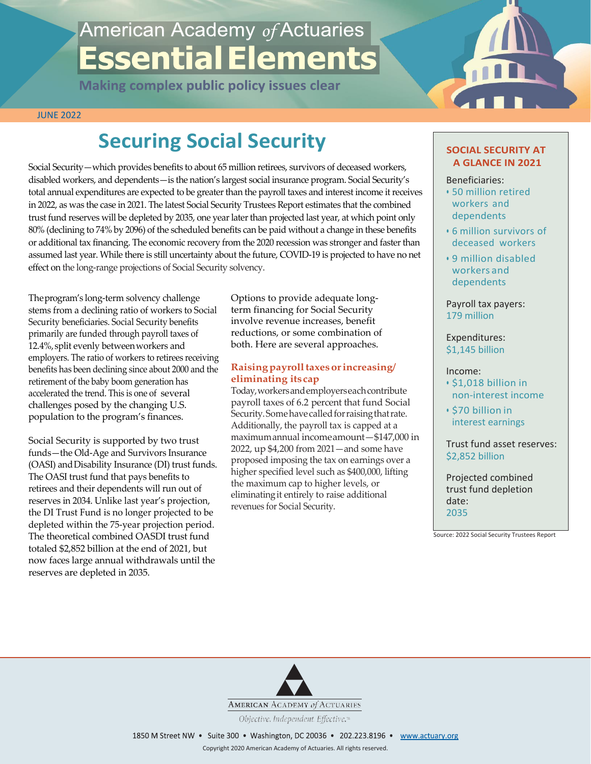# American Academy of Actuaries **Essential Elements**

**Making complex public policy issues clear** 



JUNE 2022

# **Securing Social Security**

Social Security—which provides benefits to about 65 million retirees, survivors of deceased workers, disabled workers, and dependents—is the nation's largest social insurance program. Social Security's total annual expenditures are expected to be greater than the payroll taxes and interest income it receives in 2022, as was the case in 2021. The latest Social Security Trustees Report estimates that the combined trust fund reserves will be depleted by 2035, one year laterthan projected last year, at which point only 80% (declining to 74% by 2096) of the scheduled benefits can be paid without a change in these benefits or additional tax financing. The economic recovery from the 2020 recession was stronger and faster than assumed last year. While there is still uncertainty about the future, COVID-19 is projected to have no net effect on the long-range projections of Social Security solvency.

Theprogram's long-term solvency challenge stems from a declining ratio of workers to Social Security beneficiaries. Social Security benefits primarily are funded through payroll taxes of 12.4%, split evenly between workers and employers. The ratio of workers to retirees receiving benefits has been declining since about 2000 and the retirement of the baby boom generation has accelerated the trend. This is one of several challenges posed by the changing U.S. population to the program's finances.

Social Security is supported by two trust funds—the Old-Age and Survivors Insurance (OASI) and Disability Insurance (DI) trust funds. The OASI trust fund that pays benefits to retirees and their dependents will run out of reserves in 2034. Unlike last year's projection, the DI Trust Fund is no longer projected to be depleted within the 75-year projection period. The theoretical combined OASDI trust fund totaled \$2,852 billion at the end of 2021, but now faces large annual withdrawals until the reserves are depleted in 2035.

Options to provide adequate longterm financing for Social Security involve revenue increases, benefit reductions, or some combination of both. Here are several approaches.

# **Raising payroll taxes or increasing/ eliminating itscap**

Today, workers and employers each contribute payroll taxes of 6.2 percent that fund Social Security. Some have called for raising that rate. Additionally, the payroll tax is capped at a maximumannual incomeamount—\$147,000 in 2022, up \$4,200 from 2021—and some have proposed imposing the tax on earnings over a higher specified level such as \$400,000, lifting the maximum cap to higher levels, or eliminatingit entirely to raise additional revenues for Social Security.

# **SOCIAL SECURITY AT A GLANCE IN 2021**

#### Beneficiaries:

- 50 million retired workers and dependents
- 6 million survivors of deceased workers
- 9 million disabled workers and dependents

Payroll tax payers: 179 million

Expenditures: \$1,145 billion

# Income:

- \$1,018 billion in non-interest income
- \$70 billion in interest earnings

Trust fund asset reserves: \$2,852 billion

Projected combined trust fund depletion date: 2035

Source: 2022 Social Security Trustees Report



ESSENTIALELEMENTS: Securing SocialSecurity [American Acad](http://www.actuary.org/)emy *of* Actuaries **1**